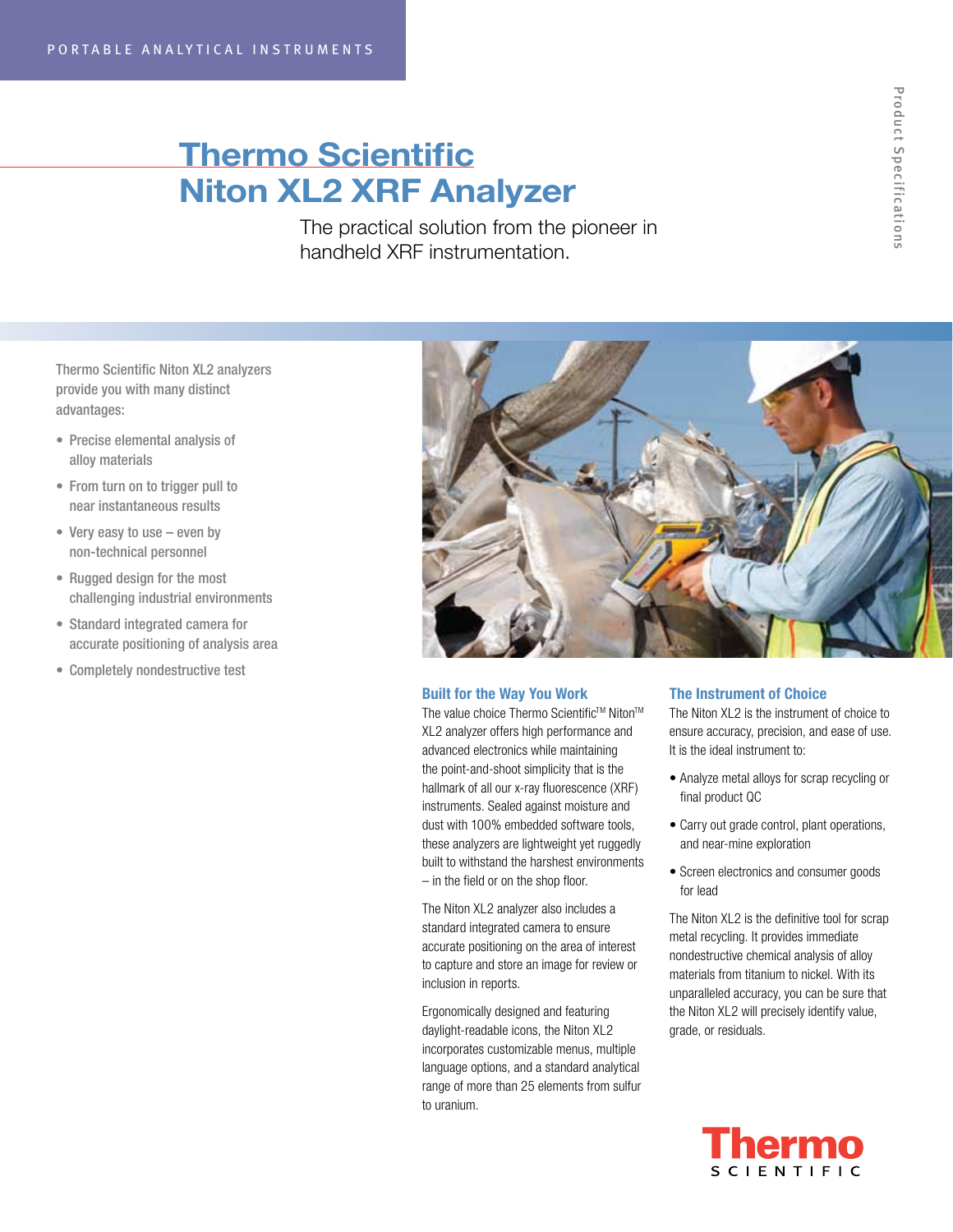# Thermo Scientific Niton XL2 XRF Analyzer

The practical solution from the pioneer in handheld XRF instrumentation.

Thermo Scientific Niton XL2 analyzers provide you with many distinct advantages:

- • Precise elemental analysis of alloy materials
- From turn on to trigger pull to near instantaneous results
- Very easy to use even by non-technical personnel
- Rugged design for the most challenging industrial environments
- • Standard integrated camera for accurate positioning of analysis area
- • Completely nondestructive test



# Built for the Way You Work

The value choice Thermo Scientific™ Niton™ XL2 analyzer offers high performance and advanced electronics while maintaining the point-and-shoot simplicity that is the hallmark of all our x-ray fluorescence (XRF) instruments. Sealed against moisture and dust with 100% embedded software tools, these analyzers are lightweight yet ruggedly built to withstand the harshest environments – in the field or on the shop floor.

The Niton XL2 analyzer also includes a standard integrated camera to ensure accurate positioning on the area of interest to capture and store an image for review or inclusion in reports.

Ergonomically designed and featuring daylight-readable icons, the Niton XL2 incorporates customizable menus, multiple language options, and a standard analytical range of more than 25 elements from sulfur to uranium.

# The Instrument of Choice

The Niton XL2 is the instrument of choice to ensure accuracy, precision, and ease of use. It is the ideal instrument to:

- Analyze metal alloys for scrap recycling or final product QC
- Carry out grade control, plant operations, and near-mine exploration
- Screen electronics and consumer goods for lead

The Niton XL2 is the definitive tool for scrap metal recycling. It provides immediate nondestructive chemical analysis of alloy materials from titanium to nickel. With its unparalleled accuracy, you can be sure that the Niton XL2 will precisely identify value, grade, or residuals.